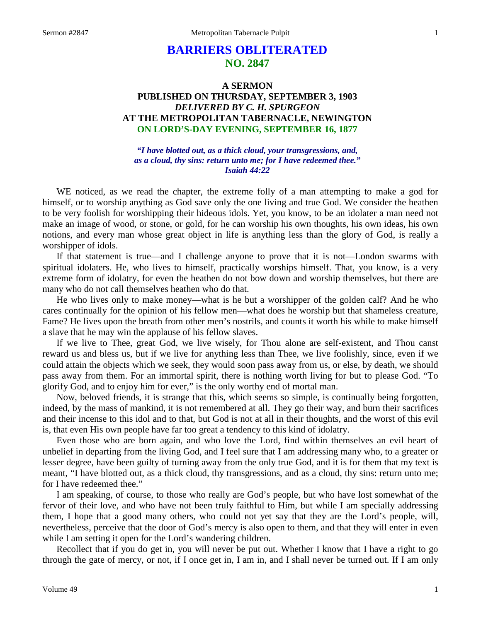# **BARRIERS OBLITERATED NO. 2847**

## **A SERMON PUBLISHED ON THURSDAY, SEPTEMBER 3, 1903** *DELIVERED BY C. H. SPURGEON* **AT THE METROPOLITAN TABERNACLE, NEWINGTON ON LORD'S-DAY EVENING, SEPTEMBER 16, 1877**

*"I have blotted out, as a thick cloud, your transgressions, and, as a cloud, thy sins: return unto me; for I have redeemed thee." Isaiah 44:22*

WE noticed, as we read the chapter, the extreme folly of a man attempting to make a god for himself, or to worship anything as God save only the one living and true God. We consider the heathen to be very foolish for worshipping their hideous idols. Yet, you know, to be an idolater a man need not make an image of wood, or stone, or gold, for he can worship his own thoughts, his own ideas, his own notions, and every man whose great object in life is anything less than the glory of God, is really a worshipper of idols.

If that statement is true—and I challenge anyone to prove that it is not—London swarms with spiritual idolaters. He, who lives to himself, practically worships himself. That, you know, is a very extreme form of idolatry, for even the heathen do not bow down and worship themselves, but there are many who do not call themselves heathen who do that.

He who lives only to make money—what is he but a worshipper of the golden calf? And he who cares continually for the opinion of his fellow men—what does he worship but that shameless creature, Fame? He lives upon the breath from other men's nostrils, and counts it worth his while to make himself a slave that he may win the applause of his fellow slaves.

If we live to Thee, great God, we live wisely, for Thou alone are self-existent, and Thou canst reward us and bless us, but if we live for anything less than Thee, we live foolishly, since, even if we could attain the objects which we seek, they would soon pass away from us, or else, by death, we should pass away from them. For an immortal spirit, there is nothing worth living for but to please God. "To glorify God, and to enjoy him for ever," is the only worthy end of mortal man.

Now, beloved friends, it is strange that this, which seems so simple, is continually being forgotten, indeed, by the mass of mankind, it is not remembered at all. They go their way, and burn their sacrifices and their incense to this idol and to that, but God is not at all in their thoughts, and the worst of this evil is, that even His own people have far too great a tendency to this kind of idolatry.

Even those who are born again, and who love the Lord, find within themselves an evil heart of unbelief in departing from the living God, and I feel sure that I am addressing many who, to a greater or lesser degree, have been guilty of turning away from the only true God, and it is for them that my text is meant, "I have blotted out, as a thick cloud, thy transgressions, and as a cloud, thy sins: return unto me; for I have redeemed thee."

I am speaking, of course, to those who really are God's people, but who have lost somewhat of the fervor of their love, and who have not been truly faithful to Him, but while I am specially addressing them, I hope that a good many others, who could not yet say that they are the Lord's people, will, nevertheless, perceive that the door of God's mercy is also open to them, and that they will enter in even while I am setting it open for the Lord's wandering children.

Recollect that if you do get in, you will never be put out. Whether I know that I have a right to go through the gate of mercy, or not, if I once get in, I am in, and I shall never be turned out. If I am only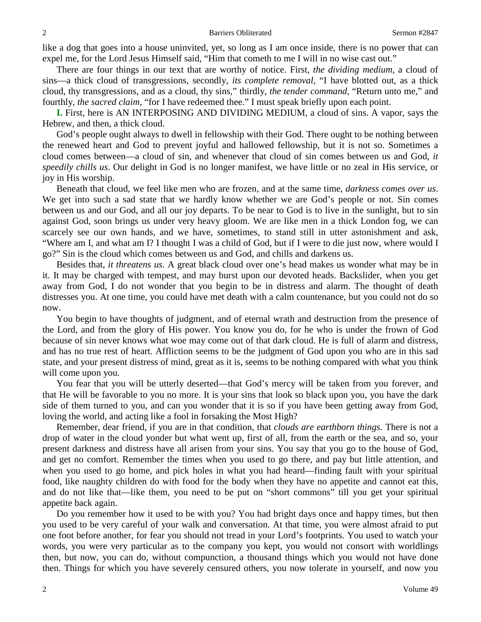like a dog that goes into a house uninvited, yet, so long as I am once inside, there is no power that can expel me, for the Lord Jesus Himself said, "Him that cometh to me I will in no wise cast out."

There are four things in our text that are worthy of notice. First, *the dividing medium,* a cloud of sins—a thick cloud of transgressions, secondly, *its complete removal,* "I have blotted out, as a thick cloud, thy transgressions, and as a cloud, thy sins," thirdly, *the tender command,* "Return unto me," and fourthly, *the sacred claim,* "for I have redeemed thee." I must speak briefly upon each point.

**I.** First, here is AN INTERPOSING AND DIVIDING MEDIUM, a cloud of sins. A vapor, says the Hebrew, and then, a thick cloud.

God's people ought always to dwell in fellowship with their God. There ought to be nothing between the renewed heart and God to prevent joyful and hallowed fellowship, but it is not so. Sometimes a cloud comes between—a cloud of sin, and whenever that cloud of sin comes between us and God, *it speedily chills us*. Our delight in God is no longer manifest, we have little or no zeal in His service, or joy in His worship.

Beneath that cloud, we feel like men who are frozen, and at the same time, *darkness comes over us*. We get into such a sad state that we hardly know whether we are God's people or not. Sin comes between us and our God, and all our joy departs. To be near to God is to live in the sunlight, but to sin against God, soon brings us under very heavy gloom. We are like men in a thick London fog, we can scarcely see our own hands, and we have, sometimes, to stand still in utter astonishment and ask, "Where am I, and what am I? I thought I was a child of God, but if I were to die just now, where would I go?" Sin is the cloud which comes between us and God, and chills and darkens us.

Besides that, *it threatens us.* A great black cloud over one's head makes us wonder what may be in it. It may be charged with tempest, and may burst upon our devoted heads. Backslider, when you get away from God, I do not wonder that you begin to be in distress and alarm. The thought of death distresses you. At one time, you could have met death with a calm countenance, but you could not do so now.

You begin to have thoughts of judgment, and of eternal wrath and destruction from the presence of the Lord, and from the glory of His power. You know you do, for he who is under the frown of God because of sin never knows what woe may come out of that dark cloud. He is full of alarm and distress, and has no true rest of heart. Affliction seems to be the judgment of God upon you who are in this sad state, and your present distress of mind, great as it is, seems to be nothing compared with what you think will come upon you.

You fear that you will be utterly deserted—that God's mercy will be taken from you forever, and that He will be favorable to you no more. It is your sins that look so black upon you, you have the dark side of them turned to you, and can you wonder that it is so if you have been getting away from God, loving the world, and acting like a fool in forsaking the Most High?

Remember, dear friend, if you are in that condition, that *clouds are earthborn things.* There is not a drop of water in the cloud yonder but what went up, first of all, from the earth or the sea, and so, your present darkness and distress have all arisen from your sins. You say that you go to the house of God, and get no comfort. Remember the times when you used to go there, and pay but little attention, and when you used to go home, and pick holes in what you had heard—finding fault with your spiritual food, like naughty children do with food for the body when they have no appetite and cannot eat this, and do not like that—like them, you need to be put on "short commons" till you get your spiritual appetite back again.

Do you remember how it used to be with you? You had bright days once and happy times, but then you used to be very careful of your walk and conversation. At that time, you were almost afraid to put one foot before another, for fear you should not tread in your Lord's footprints. You used to watch your words, you were very particular as to the company you kept, you would not consort with worldlings then, but now, you can do, without compunction, a thousand things which you would not have done then. Things for which you have severely censured others, you now tolerate in yourself, and now you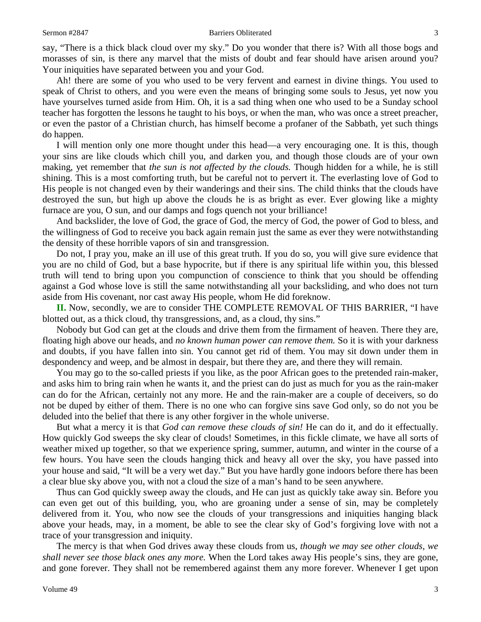say, "There is a thick black cloud over my sky." Do you wonder that there is? With all those bogs and morasses of sin, is there any marvel that the mists of doubt and fear should have arisen around you? Your iniquities have separated between you and your God.

Ah! there are some of you who used to be very fervent and earnest in divine things. You used to speak of Christ to others, and you were even the means of bringing some souls to Jesus, yet now you have yourselves turned aside from Him. Oh, it is a sad thing when one who used to be a Sunday school teacher has forgotten the lessons he taught to his boys, or when the man, who was once a street preacher, or even the pastor of a Christian church, has himself become a profaner of the Sabbath, yet such things do happen.

I will mention only one more thought under this head—a very encouraging one. It is this, though your sins are like clouds which chill you, and darken you, and though those clouds are of your own making, yet remember that *the sun is not affected by the clouds.* Though hidden for a while, he is still shining. This is a most comforting truth, but be careful not to pervert it. The everlasting love of God to His people is not changed even by their wanderings and their sins. The child thinks that the clouds have destroyed the sun, but high up above the clouds he is as bright as ever. Ever glowing like a mighty furnace are you, O sun, and our damps and fogs quench not your brilliance!

And backslider, the love of God, the grace of God, the mercy of God, the power of God to bless, and the willingness of God to receive you back again remain just the same as ever they were notwithstanding the density of these horrible vapors of sin and transgression.

Do not, I pray you, make an ill use of this great truth. If you do so, you will give sure evidence that you are no child of God, but a base hypocrite, but if there is any spiritual life within you, this blessed truth will tend to bring upon you compunction of conscience to think that you should be offending against a God whose love is still the same notwithstanding all your backsliding, and who does not turn aside from His covenant, nor cast away His people, whom He did foreknow.

**II.** Now, secondly, we are to consider THE COMPLETE REMOVAL OF THIS BARRIER, "I have blotted out, as a thick cloud, thy transgressions, and, as a cloud, thy sins."

Nobody but God can get at the clouds and drive them from the firmament of heaven. There they are, floating high above our heads, and *no known human power can remove them.* So it is with your darkness and doubts, if you have fallen into sin. You cannot get rid of them. You may sit down under them in despondency and weep, and be almost in despair, but there they are, and there they will remain.

You may go to the so-called priests if you like, as the poor African goes to the pretended rain-maker, and asks him to bring rain when he wants it, and the priest can do just as much for you as the rain-maker can do for the African, certainly not any more. He and the rain-maker are a couple of deceivers, so do not be duped by either of them. There is no one who can forgive sins save God only, so do not you be deluded into the belief that there is any other forgiver in the whole universe.

But what a mercy it is that *God can remove these clouds of sin!* He can do it, and do it effectually. How quickly God sweeps the sky clear of clouds! Sometimes, in this fickle climate, we have all sorts of weather mixed up together, so that we experience spring, summer, autumn, and winter in the course of a few hours. You have seen the clouds hanging thick and heavy all over the sky, you have passed into your house and said, "It will be a very wet day." But you have hardly gone indoors before there has been a clear blue sky above you, with not a cloud the size of a man's hand to be seen anywhere.

Thus can God quickly sweep away the clouds, and He can just as quickly take away sin. Before you can even get out of this building, you, who are groaning under a sense of sin, may be completely delivered from it. You, who now see the clouds of your transgressions and iniquities hanging black above your heads, may, in a moment, be able to see the clear sky of God's forgiving love with not a trace of your transgression and iniquity.

The mercy is that when God drives away these clouds from us, *though we may see other clouds, we shall never see those black ones any more.* When the Lord takes away His people's sins, they are gone, and gone forever. They shall not be remembered against them any more forever. Whenever I get upon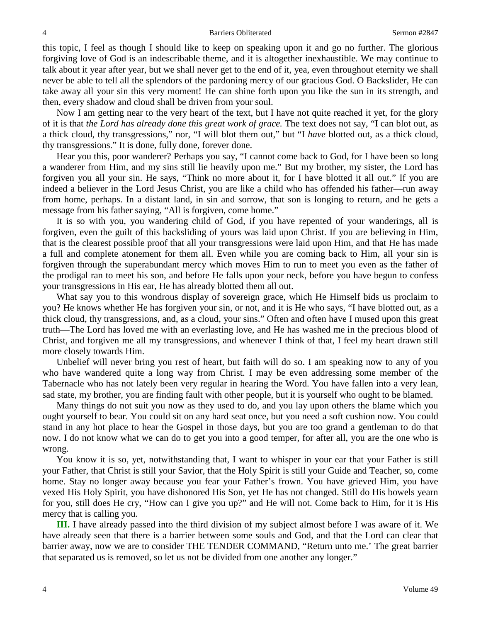this topic, I feel as though I should like to keep on speaking upon it and go no further. The glorious forgiving love of God is an indescribable theme, and it is altogether inexhaustible. We may continue to talk about it year after year, but we shall never get to the end of it, yea, even throughout eternity we shall never be able to tell all the splendors of the pardoning mercy of our gracious God. O Backslider, He can take away all your sin this very moment! He can shine forth upon you like the sun in its strength, and then, every shadow and cloud shall be driven from your soul.

Now I am getting near to the very heart of the text, but I have not quite reached it yet, for the glory of it is that *the Lord has already done this great work of grace.* The text does not say, "I can blot out, as a thick cloud, thy transgressions," nor, "I will blot them out," but "I *have* blotted out, as a thick cloud, thy transgressions." It is done, fully done, forever done.

Hear you this, poor wanderer? Perhaps you say, "I cannot come back to God, for I have been so long a wanderer from Him, and my sins still lie heavily upon me." But my brother, my sister, the Lord has forgiven you all your sin. He says, "Think no more about it, for I have blotted it all out." If you are indeed a believer in the Lord Jesus Christ, you are like a child who has offended his father—run away from home, perhaps. In a distant land, in sin and sorrow, that son is longing to return, and he gets a message from his father saying, "All is forgiven, come home."

It is so with you, you wandering child of God, if you have repented of your wanderings, all is forgiven, even the guilt of this backsliding of yours was laid upon Christ. If you are believing in Him, that is the clearest possible proof that all your transgressions were laid upon Him, and that He has made a full and complete atonement for them all. Even while you are coming back to Him, all your sin is forgiven through the superabundant mercy which moves Him to run to meet you even as the father of the prodigal ran to meet his son, and before He falls upon your neck, before you have begun to confess your transgressions in His ear, He has already blotted them all out.

What say you to this wondrous display of sovereign grace, which He Himself bids us proclaim to you? He knows whether He has forgiven your sin, or not, and it is He who says, "I have blotted out, as a thick cloud, thy transgressions, and, as a cloud, your sins." Often and often have I mused upon this great truth—The Lord has loved me with an everlasting love, and He has washed me in the precious blood of Christ, and forgiven me all my transgressions, and whenever I think of that, I feel my heart drawn still more closely towards Him.

Unbelief will never bring you rest of heart, but faith will do so. I am speaking now to any of you who have wandered quite a long way from Christ. I may be even addressing some member of the Tabernacle who has not lately been very regular in hearing the Word. You have fallen into a very lean, sad state, my brother, you are finding fault with other people, but it is yourself who ought to be blamed.

Many things do not suit you now as they used to do, and you lay upon others the blame which you ought yourself to bear. You could sit on any hard seat once, but you need a soft cushion now. You could stand in any hot place to hear the Gospel in those days, but you are too grand a gentleman to do that now. I do not know what we can do to get you into a good temper, for after all, you are the one who is wrong.

You know it is so, yet, notwithstanding that, I want to whisper in your ear that your Father is still your Father, that Christ is still your Savior, that the Holy Spirit is still your Guide and Teacher, so, come home. Stay no longer away because you fear your Father's frown. You have grieved Him, you have vexed His Holy Spirit, you have dishonored His Son, yet He has not changed. Still do His bowels yearn for you, still does He cry, "How can I give you up?" and He will not. Come back to Him, for it is His mercy that is calling you.

**III.** I have already passed into the third division of my subject almost before I was aware of it. We have already seen that there is a barrier between some souls and God, and that the Lord can clear that barrier away, now we are to consider THE TENDER COMMAND, "Return unto me.' The great barrier that separated us is removed, so let us not be divided from one another any longer."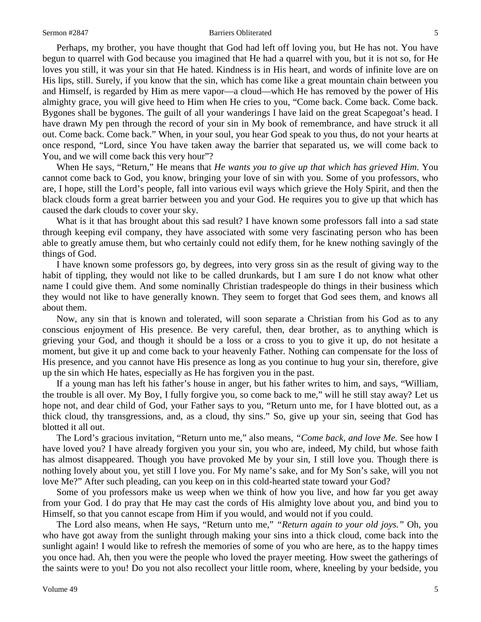#### Sermon #2847 **Barriers Obliterated** 5

Perhaps, my brother, you have thought that God had left off loving you, but He has not. You have begun to quarrel with God because you imagined that He had a quarrel with you, but it is not so, for He loves you still, it was your sin that He hated. Kindness is in His heart, and words of infinite love are on His lips, still. Surely, if you know that the sin, which has come like a great mountain chain between you and Himself, is regarded by Him as mere vapor—a cloud—which He has removed by the power of His almighty grace, you will give heed to Him when He cries to you, "Come back. Come back. Come back. Bygones shall be bygones. The guilt of all your wanderings I have laid on the great Scapegoat's head. I have drawn My pen through the record of your sin in My book of remembrance, and have struck it all out. Come back. Come back." When, in your soul, you hear God speak to you thus, do not your hearts at once respond, "Lord, since You have taken away the barrier that separated us, we will come back to You, and we will come back this very hour"?

When He says, "Return," He means that *He wants you to give up that which has grieved Him.* You cannot come back to God, you know, bringing your love of sin with you. Some of you professors, who are, I hope, still the Lord's people, fall into various evil ways which grieve the Holy Spirit, and then the black clouds form a great barrier between you and your God. He requires you to give up that which has caused the dark clouds to cover your sky.

What is it that has brought about this sad result? I have known some professors fall into a sad state through keeping evil company, they have associated with some very fascinating person who has been able to greatly amuse them, but who certainly could not edify them, for he knew nothing savingly of the things of God.

I have known some professors go, by degrees, into very gross sin as the result of giving way to the habit of tippling, they would not like to be called drunkards, but I am sure I do not know what other name I could give them. And some nominally Christian tradespeople do things in their business which they would not like to have generally known. They seem to forget that God sees them, and knows all about them.

Now, any sin that is known and tolerated, will soon separate a Christian from his God as to any conscious enjoyment of His presence. Be very careful, then, dear brother, as to anything which is grieving your God, and though it should be a loss or a cross to you to give it up, do not hesitate a moment, but give it up and come back to your heavenly Father. Nothing can compensate for the loss of His presence, and you cannot have His presence as long as you continue to hug your sin, therefore, give up the sin which He hates, especially as He has forgiven you in the past.

If a young man has left his father's house in anger, but his father writes to him, and says, "William, the trouble is all over. My Boy, I fully forgive you, so come back to me," will he still stay away? Let us hope not, and dear child of God, your Father says to you, "Return unto me, for I have blotted out, as a thick cloud, thy transgressions, and, as a cloud, thy sins." So, give up your sin, seeing that God has blotted it all out.

The Lord's gracious invitation, "Return unto me," also means, *"Come back, and love Me.* See how I have loved you? I have already forgiven you your sin, you who are, indeed, My child, but whose faith has almost disappeared. Though you have provoked Me by your sin, I still love you. Though there is nothing lovely about you, yet still I love you. For My name's sake, and for My Son's sake, will you not love Me?" After such pleading, can you keep on in this cold-hearted state toward your God?

Some of you professors make us weep when we think of how you live, and how far you get away from your God. I do pray that He may cast the cords of His almighty love about you, and bind you to Himself, so that you cannot escape from Him if you would, and would not if you could.

The Lord also means, when He says, "Return unto me," *"Return again to your old joys."* Oh, you who have got away from the sunlight through making your sins into a thick cloud, come back into the sunlight again! I would like to refresh the memories of some of you who are here, as to the happy times you once had. Ah, then you were the people who loved the prayer meeting. How sweet the gatherings of the saints were to you! Do you not also recollect your little room, where, kneeling by your bedside, you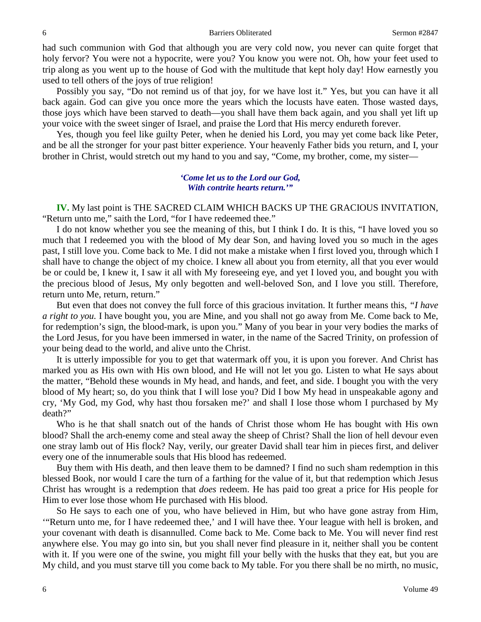had such communion with God that although you are very cold now, you never can quite forget that holy fervor? You were not a hypocrite, were you? You know you were not. Oh, how your feet used to trip along as you went up to the house of God with the multitude that kept holy day! How earnestly you used to tell others of the joys of true religion!

Possibly you say, "Do not remind us of that joy, for we have lost it." Yes, but you can have it all back again. God can give you once more the years which the locusts have eaten. Those wasted days, those joys which have been starved to death—you shall have them back again, and you shall yet lift up your voice with the sweet singer of Israel, and praise the Lord that His mercy endureth forever.

Yes, though you feel like guilty Peter, when he denied his Lord, you may yet come back like Peter, and be all the stronger for your past bitter experience. Your heavenly Father bids you return, and I, your brother in Christ, would stretch out my hand to you and say, "Come, my brother, come, my sister—

#### *'Come let us to the Lord our God, With contrite hearts return.'"*

**IV.** My last point is THE SACRED CLAIM WHICH BACKS UP THE GRACIOUS INVITATION, "Return unto me," saith the Lord, "for I have redeemed thee."

I do not know whether you see the meaning of this, but I think I do. It is this, "I have loved you so much that I redeemed you with the blood of My dear Son, and having loved you so much in the ages past, I still love you. Come back to Me. I did not make a mistake when I first loved you, through which I shall have to change the object of my choice. I knew all about you from eternity, all that you ever would be or could be, I knew it, I saw it all with My foreseeing eye, and yet I loved you, and bought you with the precious blood of Jesus, My only begotten and well-beloved Son, and I love you still. Therefore, return unto Me, return, return."

But even that does not convey the full force of this gracious invitation. It further means this, *"I have a right to you.* I have bought you, you are Mine, and you shall not go away from Me. Come back to Me, for redemption's sign, the blood-mark, is upon you." Many of you bear in your very bodies the marks of the Lord Jesus, for you have been immersed in water, in the name of the Sacred Trinity, on profession of your being dead to the world, and alive unto the Christ.

It is utterly impossible for you to get that watermark off you, it is upon you forever. And Christ has marked you as His own with His own blood, and He will not let you go. Listen to what He says about the matter, "Behold these wounds in My head, and hands, and feet, and side. I bought you with the very blood of My heart; so, do you think that I will lose you? Did I bow My head in unspeakable agony and cry, 'My God, my God, why hast thou forsaken me?' and shall I lose those whom I purchased by My death?"

Who is he that shall snatch out of the hands of Christ those whom He has bought with His own blood? Shall the arch-enemy come and steal away the sheep of Christ? Shall the lion of hell devour even one stray lamb out of His flock? Nay, verily, our greater David shall tear him in pieces first, and deliver every one of the innumerable souls that His blood has redeemed.

Buy them with His death, and then leave them to be damned? I find no such sham redemption in this blessed Book, nor would I care the turn of a farthing for the value of it, but that redemption which Jesus Christ has wrought is a redemption that *does* redeem. He has paid too great a price for His people for Him to ever lose those whom He purchased with His blood.

So He says to each one of you, who have believed in Him, but who have gone astray from Him, '"Return unto me, for I have redeemed thee,' and I will have thee. Your league with hell is broken, and your covenant with death is disannulled. Come back to Me. Come back to Me. You will never find rest anywhere else. You may go into sin, but you shall never find pleasure in it, neither shall you be content with it. If you were one of the swine, you might fill your belly with the husks that they eat, but you are My child, and you must starve till you come back to My table. For you there shall be no mirth, no music,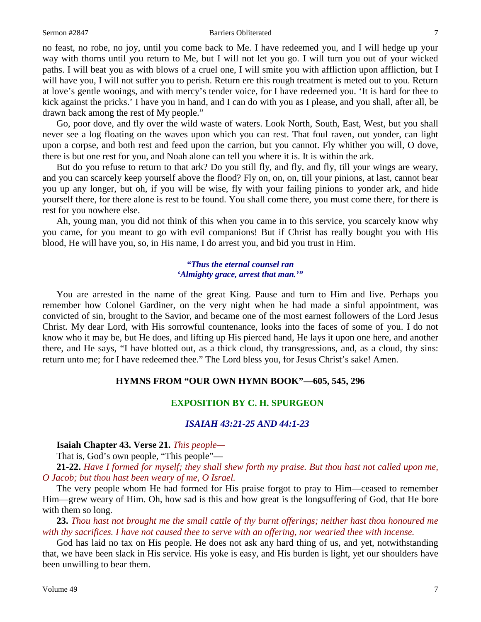#### Sermon #2847 **Barriers Obliterated** 7

no feast, no robe, no joy, until you come back to Me. I have redeemed you, and I will hedge up your way with thorns until you return to Me, but I will not let you go. I will turn you out of your wicked paths. I will beat you as with blows of a cruel one, I will smite you with affliction upon affliction, but I will have you, I will not suffer you to perish. Return ere this rough treatment is meted out to you. Return at love's gentle wooings, and with mercy's tender voice, for I have redeemed you. 'It is hard for thee to kick against the pricks.' I have you in hand, and I can do with you as I please, and you shall, after all, be drawn back among the rest of My people."

Go, poor dove, and fly over the wild waste of waters. Look North, South, East, West, but you shall never see a log floating on the waves upon which you can rest. That foul raven, out yonder, can light upon a corpse, and both rest and feed upon the carrion, but you cannot. Fly whither you will, O dove, there is but one rest for you, and Noah alone can tell you where it is. It is within the ark.

But do you refuse to return to that ark? Do you still fly, and fly, and fly, till your wings are weary, and you can scarcely keep yourself above the flood? Fly on, on, on, till your pinions, at last, cannot bear you up any longer, but oh, if you will be wise, fly with your failing pinions to yonder ark, and hide yourself there, for there alone is rest to be found. You shall come there, you must come there, for there is rest for you nowhere else.

Ah, young man, you did not think of this when you came in to this service, you scarcely know why you came, for you meant to go with evil companions! But if Christ has really bought you with His blood, He will have you, so, in His name, I do arrest you, and bid you trust in Him.

#### *"Thus the eternal counsel ran 'Almighty grace, arrest that man.'"*

You are arrested in the name of the great King. Pause and turn to Him and live. Perhaps you remember how Colonel Gardiner, on the very night when he had made a sinful appointment, was convicted of sin, brought to the Savior, and became one of the most earnest followers of the Lord Jesus Christ. My dear Lord, with His sorrowful countenance, looks into the faces of some of you. I do not know who it may be, but He does, and lifting up His pierced hand, He lays it upon one here, and another there, and He says, "I have blotted out, as a thick cloud, thy transgressions, and, as a cloud, thy sins: return unto me; for I have redeemed thee." The Lord bless you, for Jesus Christ's sake! Amen.

### **HYMNS FROM "OUR OWN HYMN BOOK"—605, 545, 296**

### **EXPOSITION BY C. H. SPURGEON**

## *ISAIAH 43:21-25 AND 44:1-23*

**Isaiah Chapter 43. Verse 21.** *This people—*

That is, God's own people, "This people"—

**21-22.** *Have I formed for myself; they shall shew forth my praise. But thou hast not called upon me, O Jacob; but thou hast been weary of me, O Israel.*

The very people whom He had formed for His praise forgot to pray to Him—ceased to remember Him—grew weary of Him. Oh, how sad is this and how great is the longsuffering of God, that He bore with them so long.

**23.** *Thou hast not brought me the small cattle of thy burnt offerings; neither hast thou honoured me with thy sacrifices. I have not caused thee to serve with an offering, nor wearied thee with incense.*

God has laid no tax on His people. He does not ask any hard thing of us, and yet, notwithstanding that, we have been slack in His service. His yoke is easy, and His burden is light, yet our shoulders have been unwilling to bear them.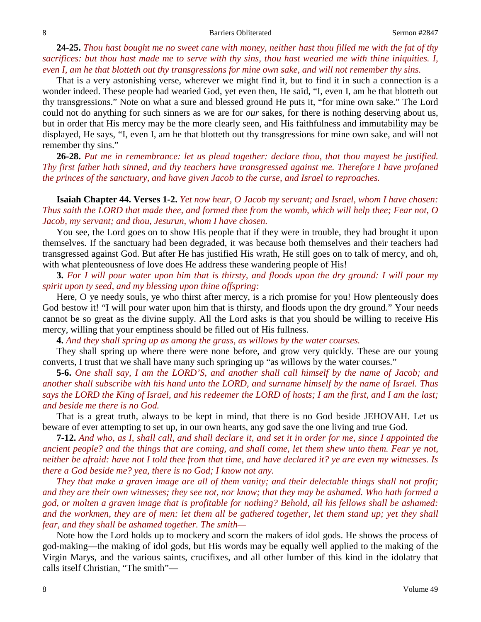**24-25.** *Thou hast bought me no sweet cane with money, neither hast thou filled me with the fat of thy sacrifices: but thou hast made me to serve with thy sins, thou hast wearied me with thine iniquities. I, even I, am he that blotteth out thy transgressions for mine own sake, and will not remember thy sins.*

That is a very astonishing verse, wherever we might find it, but to find it in such a connection is a wonder indeed. These people had wearied God, yet even then, He said, "I, even I, am he that blotteth out thy transgressions." Note on what a sure and blessed ground He puts it, "for mine own sake." The Lord could not do anything for such sinners as we are for *our* sakes, for there is nothing deserving about us, but in order that His mercy may be the more clearly seen, and His faithfulness and immutability may be displayed, He says, "I, even I, am he that blotteth out thy transgressions for mine own sake, and will not remember thy sins."

**26-28.** *Put me in remembrance: let us plead together: declare thou, that thou mayest be justified. Thy first father hath sinned, and thy teachers have transgressed against me. Therefore I have profaned the princes of the sanctuary, and have given Jacob to the curse, and Israel to reproaches.*

**Isaiah Chapter 44. Verses 1-2.** *Yet now hear, O Jacob my servant; and Israel, whom I have chosen: Thus saith the LORD that made thee, and formed thee from the womb, which will help thee; Fear not, O Jacob, my servant; and thou, Jesurun, whom I have chosen.*

You see, the Lord goes on to show His people that if they were in trouble, they had brought it upon themselves. If the sanctuary had been degraded, it was because both themselves and their teachers had transgressed against God. But after He has justified His wrath, He still goes on to talk of mercy, and oh, with what plenteousness of love does He address these wandering people of His!

**3.** *For I will pour water upon him that is thirsty, and floods upon the dry ground: I will pour my spirit upon ty seed, and my blessing upon thine offspring:*

Here, O ye needy souls, ye who thirst after mercy, is a rich promise for you! How plenteously does God bestow it! "I will pour water upon him that is thirsty, and floods upon the dry ground." Your needs cannot be so great as the divine supply. All the Lord asks is that you should be willing to receive His mercy, willing that your emptiness should be filled out of His fullness.

**4.** *And they shall spring up as among the grass, as willows by the water courses.*

They shall spring up where there were none before, and grow very quickly. These are our young converts, I trust that we shall have many such springing up "as willows by the water courses."

**5-6.** *One shall say, I am the LORD'S, and another shall call himself by the name of Jacob; and another shall subscribe with his hand unto the LORD, and surname himself by the name of Israel. Thus says the LORD the King of Israel, and his redeemer the LORD of hosts; I am the first, and I am the last; and beside me there is no God.*

That is a great truth, always to be kept in mind, that there is no God beside JEHOVAH. Let us beware of ever attempting to set up, in our own hearts, any god save the one living and true God.

**7-12.** *And who, as I, shall call, and shall declare it, and set it in order for me, since I appointed the ancient people? and the things that are coming, and shall come, let them shew unto them. Fear ye not, neither be afraid: have not I told thee from that time, and have declared it? ye are even my witnesses. Is there a God beside me? yea, there is no God; I know not any.* 

*They that make a graven image are all of them vanity; and their delectable things shall not profit; and they are their own witnesses; they see not, nor know; that they may be ashamed. Who hath formed a god, or molten a graven image that is profitable for nothing? Behold, all his fellows shall be ashamed:*  and the workmen, they are of men: let them all be gathered together, let them stand up; yet they shall *fear, and they shall be ashamed together. The smith—*

Note how the Lord holds up to mockery and scorn the makers of idol gods. He shows the process of god-making—the making of idol gods, but His words may be equally well applied to the making of the Virgin Marys, and the various saints, crucifixes, and all other lumber of this kind in the idolatry that calls itself Christian, "The smith"—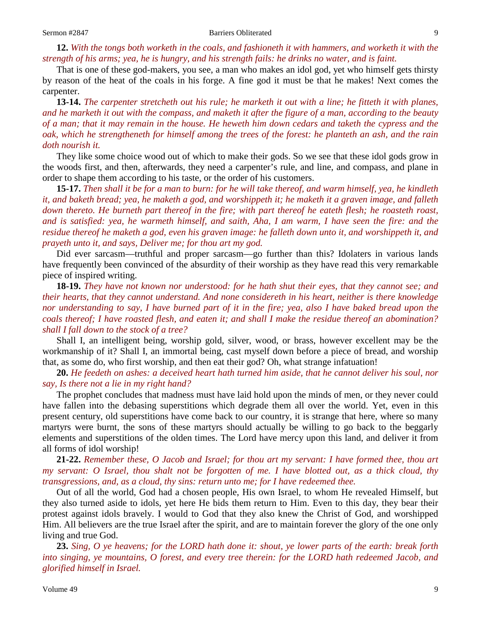### **12.** *With the tongs both worketh in the coals, and fashioneth it with hammers, and worketh it with the strength of his arms; yea, he is hungry, and his strength fails: he drinks no water, and is faint.*

That is one of these god-makers, you see, a man who makes an idol god, yet who himself gets thirsty by reason of the heat of the coals in his forge. A fine god it must be that he makes! Next comes the carpenter.

**13-14.** *The carpenter stretcheth out his rule; he marketh it out with a line; he fitteth it with planes, and he marketh it out with the compass, and maketh it after the figure of a man, according to the beauty of a man; that it may remain in the house. He heweth him down cedars and taketh the cypress and the oak, which he strengtheneth for himself among the trees of the forest: he planteth an ash, and the rain doth nourish it.*

They like some choice wood out of which to make their gods. So we see that these idol gods grow in the woods first, and then, afterwards, they need a carpenter's rule, and line, and compass, and plane in order to shape them according to his taste, or the order of his customers.

**15-17.** *Then shall it be for a man to burn: for he will take thereof, and warm himself, yea, he kindleth it, and baketh bread; yea, he maketh a god, and worshippeth it; he maketh it a graven image, and falleth down thereto. He burneth part thereof in the fire; with part thereof he eateth flesh; he roasteth roast, and is satisfied: yea, he warmeth himself, and saith, Aha, I am warm, I have seen the fire: and the residue thereof he maketh a god, even his graven image: he falleth down unto it, and worshippeth it, and prayeth unto it, and says, Deliver me; for thou art my god.*

Did ever sarcasm—truthful and proper sarcasm—go further than this? Idolaters in various lands have frequently been convinced of the absurdity of their worship as they have read this very remarkable piece of inspired writing.

**18-19.** *They have not known nor understood: for he hath shut their eyes, that they cannot see; and their hearts, that they cannot understand. And none considereth in his heart, neither is there knowledge nor understanding to say, I have burned part of it in the fire; yea, also I have baked bread upon the coals thereof; I have roasted flesh, and eaten it; and shall I make the residue thereof an abomination? shall I fall down to the stock of a tree?*

Shall I, an intelligent being, worship gold, silver, wood, or brass, however excellent may be the workmanship of it? Shall I, an immortal being, cast myself down before a piece of bread, and worship that, as some do, who first worship, and then eat their god? Oh, what strange infatuation!

**20.** *He feedeth on ashes: a deceived heart hath turned him aside, that he cannot deliver his soul, nor say, Is there not a lie in my right hand?*

The prophet concludes that madness must have laid hold upon the minds of men, or they never could have fallen into the debasing superstitions which degrade them all over the world. Yet, even in this present century, old superstitions have come back to our country, it is strange that here, where so many martyrs were burnt, the sons of these martyrs should actually be willing to go back to the beggarly elements and superstitions of the olden times. The Lord have mercy upon this land, and deliver it from all forms of idol worship!

**21-22.** *Remember these, O Jacob and Israel; for thou art my servant: I have formed thee, thou art my servant: O Israel, thou shalt not be forgotten of me. I have blotted out, as a thick cloud, thy transgressions, and, as a cloud, thy sins: return unto me; for I have redeemed thee.*

Out of all the world, God had a chosen people, His own Israel, to whom He revealed Himself, but they also turned aside to idols, yet here He bids them return to Him. Even to this day, they bear their protest against idols bravely. I would to God that they also knew the Christ of God, and worshipped Him. All believers are the true Israel after the spirit, and are to maintain forever the glory of the one only living and true God.

**23.** *Sing, O ye heavens; for the LORD hath done it: shout, ye lower parts of the earth: break forth into singing, ye mountains, O forest, and every tree therein: for the LORD hath redeemed Jacob, and glorified himself in Israel.*